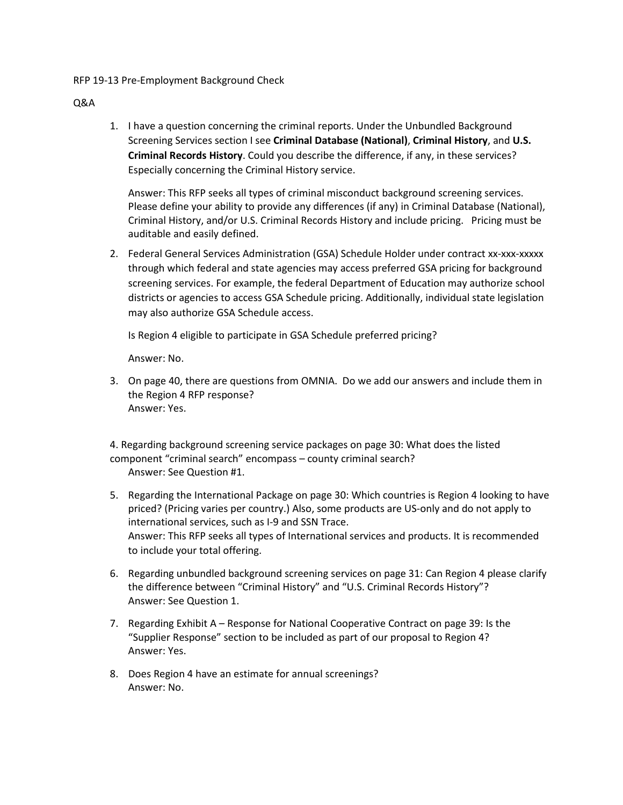## RFP 19-13 Pre-Employment Background Check

## Q&A

1. I have a question concerning the criminal reports. Under the Unbundled Background Screening Services section I see **Criminal Database (National)**, **Criminal History**, and **U.S. Criminal Records History**. Could you describe the difference, if any, in these services? Especially concerning the Criminal History service.

Answer: This RFP seeks all types of criminal misconduct background screening services. Please define your ability to provide any differences (if any) in Criminal Database (National), Criminal History, and/or U.S. Criminal Records History and include pricing. Pricing must be auditable and easily defined.

2. Federal General Services Administration (GSA) Schedule Holder under contract xx-xxx-xxxxx through which federal and state agencies may access preferred GSA pricing for background screening services. For example, the federal Department of Education may authorize school districts or agencies to access GSA Schedule pricing. Additionally, individual state legislation may also authorize GSA Schedule access.

Is Region 4 eligible to participate in GSA Schedule preferred pricing?

Answer: No.

3. On page 40, there are questions from OMNIA. Do we add our answers and include them in the Region 4 RFP response? Answer: Yes.

4. Regarding background screening service packages on page 30: What does the listed component "criminal search" encompass – county criminal search? Answer: See Question #1.

- 5. Regarding the International Package on page 30: Which countries is Region 4 looking to have priced? (Pricing varies per country.) Also, some products are US-only and do not apply to international services, such as I-9 and SSN Trace. Answer: This RFP seeks all types of International services and products. It is recommended to include your total offering.
- 6. Regarding unbundled background screening services on page 31: Can Region 4 please clarify the difference between "Criminal History" and "U.S. Criminal Records History"? Answer: See Question 1.
- 7. Regarding Exhibit A Response for National Cooperative Contract on page 39: Is the "Supplier Response" section to be included as part of our proposal to Region 4? Answer: Yes.
- 8. Does Region 4 have an estimate for annual screenings? Answer: No.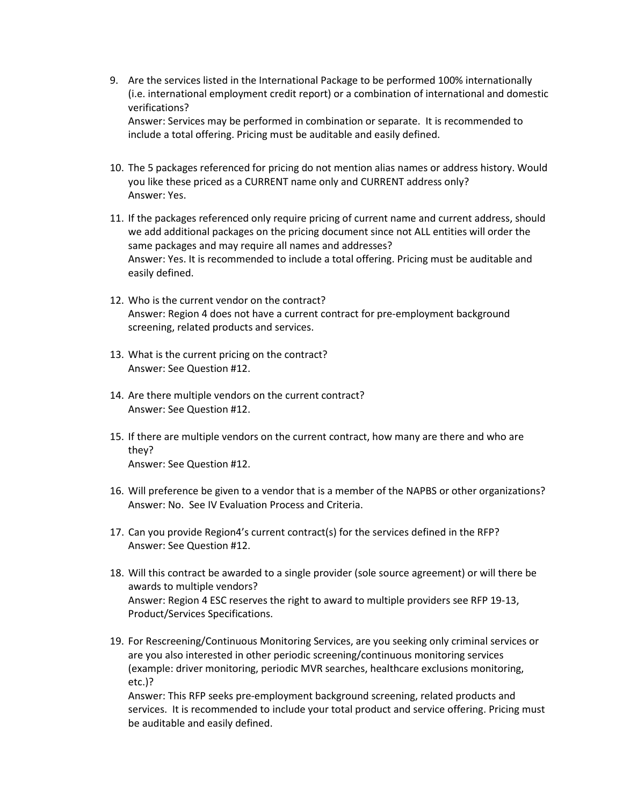- 9. Are the services listed in the International Package to be performed 100% internationally (i.e. international employment credit report) or a combination of international and domestic verifications? Answer: Services may be performed in combination or separate. It is recommended to include a total offering. Pricing must be auditable and easily defined.
- 10. The 5 packages referenced for pricing do not mention alias names or address history. Would you like these priced as a CURRENT name only and CURRENT address only? Answer: Yes.
- 11. If the packages referenced only require pricing of current name and current address, should we add additional packages on the pricing document since not ALL entities will order the same packages and may require all names and addresses? Answer: Yes. It is recommended to include a total offering. Pricing must be auditable and easily defined.
- 12. Who is the current vendor on the contract? Answer: Region 4 does not have a current contract for pre-employment background screening, related products and services.
- 13. What is the current pricing on the contract? Answer: See Question #12.
- 14. Are there multiple vendors on the current contract? Answer: See Question #12.
- 15. If there are multiple vendors on the current contract, how many are there and who are they? Answer: See Question #12.
- 16. Will preference be given to a vendor that is a member of the NAPBS or other organizations? Answer: No. See IV Evaluation Process and Criteria.
- 17. Can you provide Region4's current contract(s) for the services defined in the RFP? Answer: See Question #12.
- 18. Will this contract be awarded to a single provider (sole source agreement) or will there be awards to multiple vendors? Answer: Region 4 ESC reserves the right to award to multiple providers see RFP 19-13, Product/Services Specifications.
- 19. For Rescreening/Continuous Monitoring Services, are you seeking only criminal services or are you also interested in other periodic screening/continuous monitoring services (example: driver monitoring, periodic MVR searches, healthcare exclusions monitoring, etc.)?

Answer: This RFP seeks pre-employment background screening, related products and services. It is recommended to include your total product and service offering. Pricing must be auditable and easily defined.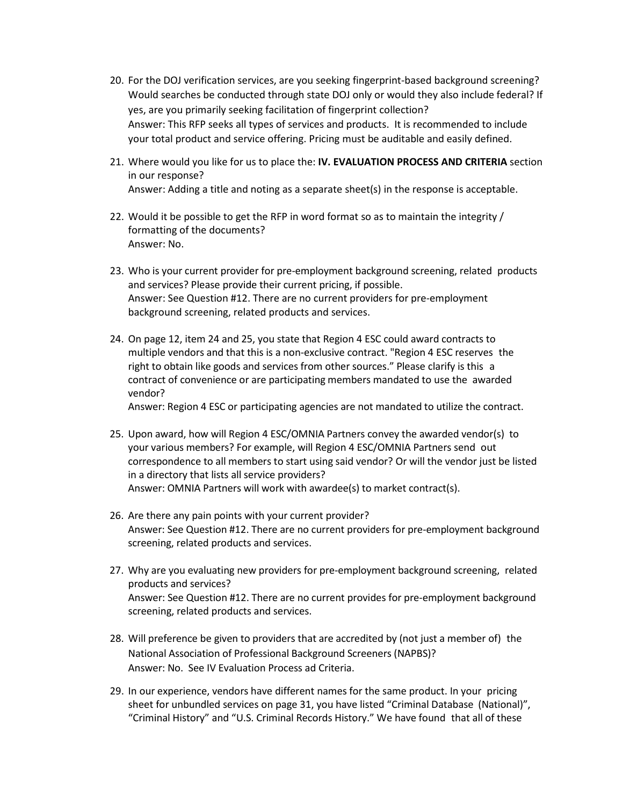- 20. For the DOJ verification services, are you seeking fingerprint-based background screening? Would searches be conducted through state DOJ only or would they also include federal? If yes, are you primarily seeking facilitation of fingerprint collection? Answer: This RFP seeks all types of services and products. It is recommended to include your total product and service offering. Pricing must be auditable and easily defined.
- 21. Where would you like for us to place the: **IV. EVALUATION PROCESS AND CRITERIA** section in our response? Answer: Adding a title and noting as a separate sheet(s) in the response is acceptable.
- 22. Would it be possible to get the RFP in word format so as to maintain the integrity / formatting of the documents? Answer: No.
- 23. Who is your current provider for pre-employment background screening, related products and services? Please provide their current pricing, if possible. Answer: See Question #12. There are no current providers for pre-employment background screening, related products and services.
- 24. On page 12, item 24 and 25, you state that Region 4 ESC could award contracts to multiple vendors and that this is a non-exclusive contract. "Region 4 ESC reserves the right to obtain like goods and services from other sources." Please clarify is this a contract of convenience or are participating members mandated to use the awarded vendor?

Answer: Region 4 ESC or participating agencies are not mandated to utilize the contract.

- 25. Upon award, how will Region 4 ESC/OMNIA Partners convey the awarded vendor(s) to your various members? For example, will Region 4 ESC/OMNIA Partners send out correspondence to all members to start using said vendor? Or will the vendor just be listed in a directory that lists all service providers? Answer: OMNIA Partners will work with awardee(s) to market contract(s).
- 26. Are there any pain points with your current provider? Answer: See Question #12. There are no current providers for pre-employment background screening, related products and services.
- 27. Why are you evaluating new providers for pre-employment background screening, related products and services? Answer: See Question #12. There are no current provides for pre-employment background screening, related products and services.
- 28. Will preference be given to providers that are accredited by (not just a member of) the National Association of Professional Background Screeners (NAPBS)? Answer: No. See IV Evaluation Process ad Criteria.
- 29. In our experience, vendors have different names for the same product. In your pricing sheet for unbundled services on page 31, you have listed "Criminal Database (National)", "Criminal History" and "U.S. Criminal Records History." We have found that all of these